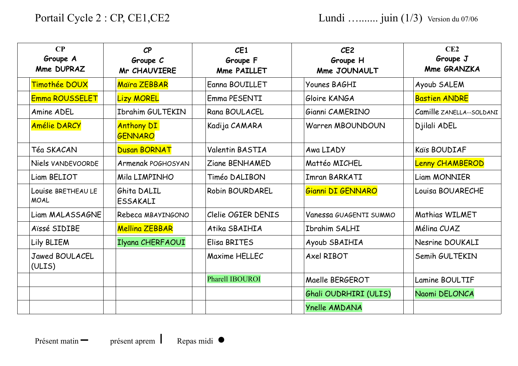| CP<br>Groupe A<br>Mme DUPRAZ      | $\mathcal{C}$ P<br>Groupe C<br><b>Mr CHAUVIERE</b> | CE1<br>Groupe F<br><b>Mme PAILLET</b> | CE <sub>2</sub><br>Groupe H<br>Mme JOUNAULT | CE2<br>Groupe J<br>Mme GRANZKA |
|-----------------------------------|----------------------------------------------------|---------------------------------------|---------------------------------------------|--------------------------------|
| Timothée DOUX                     | Maira ZEBBAR                                       | Eanna BOUILLET                        | Younes BAGHI                                | Ayoub SALEM                    |
| Emma ROUSSELET                    | <b>Lizy MOREL</b>                                  | Emma PESENTI                          | Gloire KANGA                                | <b>Bastien ANDRE</b>           |
| Amine ADEL                        | Ibrahim GULTEKIN                                   | Rana BOULACEL                         | Gianni CAMERINO                             | Camille ZANELLA--SOLDANI       |
| <b>Amélie DARCY</b>               | <b>Anthony DI</b><br><b>GENNARO</b>                | Kadija CAMARA                         | Warren MBOUNDOUN                            | Djilali ADEL                   |
| Téa SKACAN                        | Dusan BORNAT                                       | Valentin BASTIA                       | Awa LIADY                                   | Kaïs BOUDIAF                   |
| Niels VANDEVOORDE                 | Armenak POGHOSYAN                                  | Ziane BENHAMED                        | Mattéo MICHEL                               | <b>Lenny CHAMBEROD</b>         |
| Liam BELIOT                       | Mila LIMPINHO                                      | Timéo DALIBON                         | Imran BARKATI                               | <b>Liam MONNIER</b>            |
| Louise BRETHEAU LE<br><b>MOAL</b> | Ghita DALIL<br><b>ESSAKALI</b>                     | Robin BOURDAREL                       | Gianni DI GENNARO                           | Louisa BOUARECHE               |
| Liam MALASSAGNE                   | Rebeca MBAYINGONO                                  | Clelie OGIER DENIS                    | Vanessa GUAGENTI SUMMO                      | Mathias WILMET                 |
| Aïssé SIDIBE                      | <b>Mellina ZEBBAR</b>                              | Atika SBAIHIA                         | <b>Ibrahim SALHI</b>                        | Mélina CUAZ                    |
| Lily BLIEM                        | Ilyana CHERFAOUI                                   | Elisa BRITES                          | Ayoub SBAIHIA                               | Nesrine DOUKALI                |
| <b>Jawed BOULACEL</b><br>(ULIS)   |                                                    | Maxime HELLEC                         | Axel RIBOT                                  | Semih GULTEKIN                 |
|                                   |                                                    | Pharell IBOUROI                       | Maelle BERGEROT                             | Lamine BOULTIF                 |
|                                   |                                                    |                                       | Ghali OUDRHIRI (ULIS)                       | Naomi DELONCA                  |
|                                   |                                                    |                                       | Ynelle AMDANA                               |                                |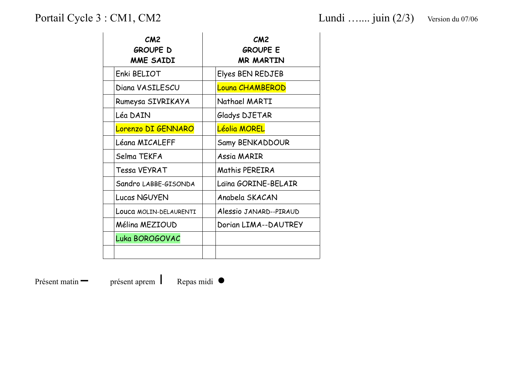Portail Cycle 3: CM1, CM2 Lundi ….... juin (2/3) Version du 07/06

| CM2<br><b>GROUPE D</b><br>MME SAIDI | CM2<br><b>GROUPE E</b><br><b>MR MARTIN</b> |
|-------------------------------------|--------------------------------------------|
| Enki BELIOT                         | Elyes BEN REDJEB                           |
| Diana VASILESCU                     | Louna CHAMBEROD                            |
| Rumeysa SIVRIKAYA                   | Nathael MARTI                              |
| Léa DAIN                            | Gladys DJETAR                              |
| Lorenzo DI GENNARO                  | Léolia MOREL                               |
| Léana MICALEFF                      | Samy BENKADDOUR                            |
| Selma TEKFA                         | Assig MARIR                                |
| Tessa VEYRAT                        | Mathis PEREIRA                             |
| Sandro LABBE-GISONDA                | Laina GORINE-BELAIR                        |
| Lucas NGUYEN                        | Anabela SKACAN                             |
| LOUCA MOLIN-DELAURENTI              | Alessio JANARD--PIRAUD                     |
| Mélina MEZIOUD                      | Dorian LIMA--DAUTREY                       |
| Luka BOROGOVAC                      |                                            |
|                                     |                                            |

Présent matin **–** présent aprem I Repas midi ●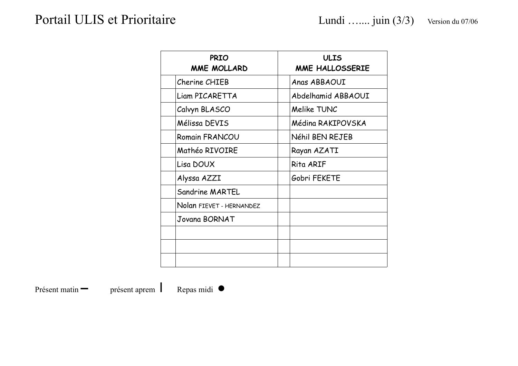| <b>PRIO</b><br><b>MME MOLLARD</b> | <b>ULIS</b><br>MME HALLOSSERIE |
|-----------------------------------|--------------------------------|
| Cherine CHIEB                     | Anas ABBAOUI                   |
| Liam PICARETTA                    | Abdelhamid ABBAOUI             |
| Calvyn BLASCO                     | Melike TUNC                    |
| Mélissa DEVIS                     | Médina RAKIPOVSKA              |
| Romain FRANCOU                    | Néhil BEN REJEB                |
| Mathéo RIVOIRE                    | Rayan AZATI                    |
| Lisa DOUX                         | Rita ARIF                      |
| Alyssa AZZI                       | Gobri FEKETE                   |
| Sandrine MARTEL                   |                                |
| Nolan FIEVET - HERNANDEZ          |                                |
| Jovana BORNAT                     |                                |
|                                   |                                |
|                                   |                                |
|                                   |                                |

présent aprem

Repas midi $\bullet$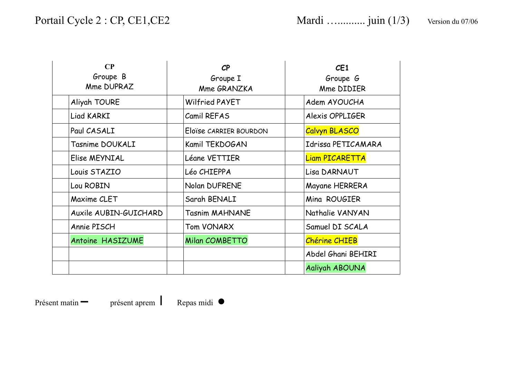| CP<br>Groupe B<br>Mme DUPRAZ | $\mathcal{C}P$<br>Groupe I<br>Mme GRANZKA | CE1<br>Groupe G<br>Mme DIDIER |
|------------------------------|-------------------------------------------|-------------------------------|
| Aliyah TOURE                 | Wilfried PAYET                            | Adem AYOUCHA                  |
| Liad KARKI                   | Camil REFAS                               | Alexis OPPLIGER               |
| Paul CASALI                  | Eloïse CARRIER BOURDON                    | <b>Calvyn BLASCO</b>          |
| Tasnime DOUKALI              | Kamil TEKDOGAN                            | Idrissa PETICAMARA            |
| Elise MEYNIAL                | Léane VETTIER                             | <b>Liam PICARETTA</b>         |
| Louis STAZIO                 | Léo CHIEPPA                               | Lisa DARNAUT                  |
| Lou ROBIN                    | Nolan DUFRENE                             | Mayane HERRERA                |
| Maxime CLET                  | Sarah BENALI                              | Mina ROUGIER                  |
| Auxile AUBIN-GUICHARD        | <b>Tasnim MAHNANE</b>                     | Nathalie VANYAN               |
| Annie PISCH                  | Tom VONARX                                | Samuel DI SCALA               |
| Antoine HASIZUME             | Milan COMBETTO                            | <b>Chérine CHIEB</b>          |
|                              |                                           | Abdel Ghani BEHIRI            |
|                              |                                           | Aaliyah ABOUNA                |

présent aprem Repas midi  $\bullet$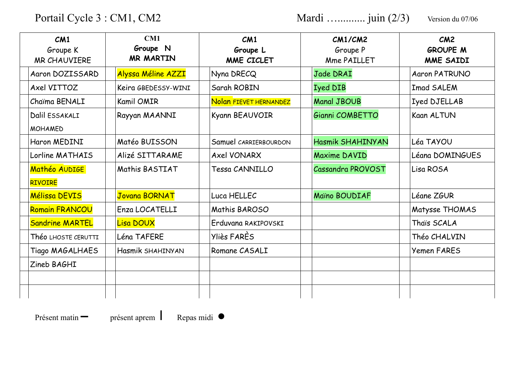Portail Cycle 3 : CM1, CM2

Mardi ............... juin (2/3) Version du 07/06

| CM1<br>Groupe K<br><b>MR CHAUVIERE</b> | CM1<br>Groupe N<br><b>MR MARTIN</b> | CM1<br>Groupe L<br>MME CICLET | CM1/CM2<br>Groupe P<br>Mme PAILLET | CM2<br><b>GROUPE M</b><br>MME SAIDI |
|----------------------------------------|-------------------------------------|-------------------------------|------------------------------------|-------------------------------------|
| Aaron DOZISSARD                        | Alyssa Méline AZZI                  | Nyna DRECQ                    | Jade DRAI                          | <b>Aaron PATRUNO</b>                |
| Axel VITTOZ                            | Keira GBEDESSY-WINI                 | Sarah ROBIN                   | <b>Iyed DIB</b>                    | <b>Imad SALEM</b>                   |
| Chaima BENALI                          | <b>Kamil OMIR</b>                   | Nolan FIEVET HERNANDEZ        | <b>Manal JBOUB</b>                 | Iyed DJELLAB                        |
| Dalil ESSAKALI<br><b>MOHAMED</b>       | Rayyan MAANNI                       | Kyann BEAUVOIR                | Gianni COMBETTO                    | Kaan ALTUN                          |
| Haron MEDINI                           | Matéo BUISSON                       | Samuel CARRIERBOURDON         | Hasmik SHAHINYAN                   | Léa TAYOU                           |
| Lorline MATHAIS                        | Alizé SITTARAME                     | <b>Axel VONARX</b>            | Maxime DAVID                       | Léana DOMINGUES                     |
| Mathéo AUDIGE<br><b>RIVOIRE</b>        | Mathis BASTIAT                      | Tessa CANNILLO                | Cassandra PROVOST                  | Lisa ROSA                           |
| Mélissa DEVIS                          | <b>Jovana BORNAT</b>                | Luca HELLEC                   | Maïno BOUDIAF                      | Léane ZGUR                          |
| <b>Romain FRANCOU</b>                  | Enza LOCATELLI                      | Mathis BAROSO                 |                                    | Matysse THOMAS                      |
| <b>Sandrine MARTEL</b>                 | Lisa DOUX                           | Erduvana RAKIPOVSKI           |                                    | Thais SCALA                         |
| Théo LHOSTE CERUTTI                    | Léna TAFERE                         | Yliès FARES                   |                                    | Théo CHALVIN                        |
| Tiago MAGALHAES                        | Hasmik SHAHINYAN                    | Romane CASALI                 |                                    | <b>Yemen FARES</b>                  |
| Zineb BAGHI                            |                                     |                               |                                    |                                     |
|                                        |                                     |                               |                                    |                                     |
|                                        |                                     |                               |                                    |                                     |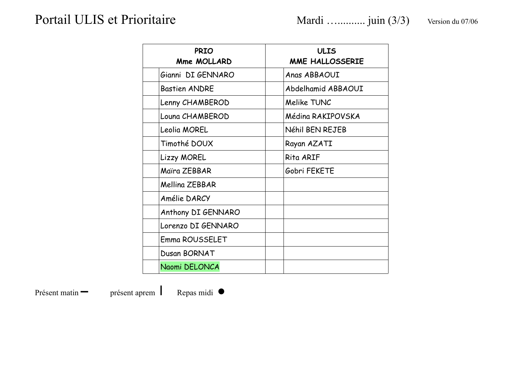| <b>PRIO</b><br>Mme MOLLARD | <b>ULIS</b><br>MME HALLOSSERIE |
|----------------------------|--------------------------------|
| Gianni DI GENNARO          | Anas ABBAOUI                   |
| <b>Bastien ANDRE</b>       | Abdelhamid ABBAOUI             |
| Lenny CHAMBEROD            | Melike TUNC                    |
| Louna CHAMBEROD            | Médina RAKIPOVSKA              |
| Leolia MOREL               | Néhil BEN REJEB                |
| Timothé DOUX               | Rayan AZATI                    |
| <b>Lizzy MOREL</b>         | Rita ARIF                      |
| Maira ZEBBAR               | Gobri FEKETE                   |
| Melling ZEBBAR             |                                |
| Amélie DARCY               |                                |
| Anthony DI GENNARO         |                                |
| Lorenzo DI GENNARO         |                                |
| Emma ROUSSELET             |                                |
| Dusan BORNAT               |                                |
| Naomi DELONCA              |                                |

présent aprem Repas midi  $\bullet$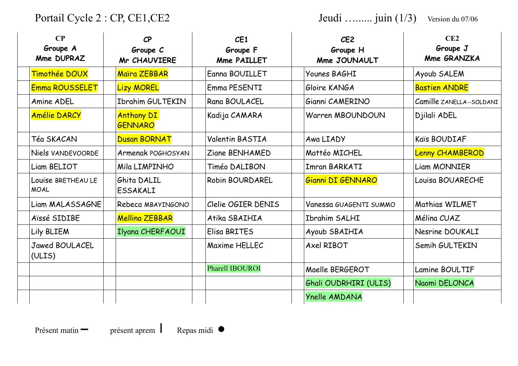Portail Cycle 2 : CP, CE1, CE2

Jeudi ......... juin (1/3) Version du 07/06

| CP<br>Groupe A<br>Mme DUPRAZ      | CP<br>Groupe C<br><b>Mr CHAUVIERE</b> | CE1<br>Groupe F<br><b>Mme PAILLET</b> | CE <sub>2</sub><br>Groupe H<br>Mme JOUNAULT | CE2<br>Groupe J<br>Mme GRANZKA |
|-----------------------------------|---------------------------------------|---------------------------------------|---------------------------------------------|--------------------------------|
| Timothée DOUX                     | Maira ZEBBAR                          | Eanna BOUILLET                        | Younes BAGHI                                | Ayoub SALEM                    |
| Emma ROUSSELET                    | <b>Lizy MOREL</b>                     | Emma PESENTI                          | Gloire KANGA                                | <b>Bastien ANDRE</b>           |
| Amine ADEL                        | Ibrahim GULTEKIN                      | Rana BOULACEL                         | Gianni CAMERINO                             | Camille ZANELLA--SOLDANI       |
| <b>Amélie DARCY</b>               | <b>Anthony DI</b><br><b>GENNARO</b>   | Kadija CAMARA                         | Warren MBOUNDOUN                            | Djilali ADEL                   |
| Téa SKACAN                        | Dusan BORNAT                          | Valentin BASTIA                       | Awa LIADY                                   | Kaïs BOUDIAF                   |
| Niels VANDEVOORDE                 | Armenak POGHOSYAN                     | Ziane BENHAMED                        | Mattéo MICHEL                               | <b>Lenny CHAMBEROD</b>         |
| Liam BELIOT                       | Mila LIMPINHO                         | Timéo DALIBON                         | Imran BARKATI                               | <b>Liam MONNIER</b>            |
| Louise BRETHEAU LE<br><b>MOAL</b> | Ghita DALIL<br><b>ESSAKALI</b>        | <b>Robin BOURDAREL</b>                | Gianni DI GENNARO                           | Louisa BOUARECHE               |
| Liam MALASSAGNE                   | Rebeca MBAYINGONO                     | Clelie OGIER DENIS                    | Vanessa GUAGENTI SUMMO                      | Mathias WILMET                 |
| Aïssé SIDIBE                      | <b>Mellina ZEBBAR</b>                 | Atika SBAIHIA                         | Ibrahim SALHI                               | Mélina CUAZ                    |
| Lily BLIEM                        | Ilyana CHERFAOUI                      | Elisa BRITES                          | Ayoub SBAIHIA                               | Nesrine DOUKALI                |
| Jawed BOULACEL<br>(ULIS)          |                                       | Maxime HELLEC                         | Axel RIBOT                                  | Semih GULTEKIN                 |
|                                   |                                       | Pharell IBOUROI                       | Maelle BERGEROT                             | Lamine BOULTIF                 |
|                                   |                                       |                                       | Ghali OUDRHIRI (ULIS)                       | Naomi DELONCA                  |
|                                   |                                       |                                       | Ynelle AMDANA                               |                                |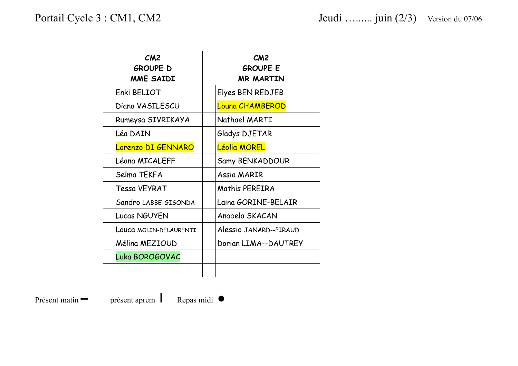| CM2<br><b>GROUPE D</b><br>MME SAIDI | CM2<br><b>GROUPE E</b><br><b>MR MARTIN</b> |
|-------------------------------------|--------------------------------------------|
| Enki BELIOT                         | Elyes BEN REDJEB                           |
| Diana VASILESCU                     | Louna CHAMBEROD                            |
| Rumeysa SIVRIKAYA                   | Nathael MARTI                              |
| Léa DAIN                            | Gladys DJETAR                              |
| Lorenzo DI GENNARO                  | Léolia MOREL                               |
| Léana MICALEFF                      | Samy BENKADDOUR                            |
| Selma TEKFA                         | Assia MARIR                                |
| Tessa VEYRAT                        | Mathis PEREIRA                             |
| Sandro LABBE-GISONDA                | Laina GORINE-BELAIR                        |
| Lucas NGUYEN                        | Anabela SKACAN                             |
| Louca MOLIN-DELAURENTI              | Alessio JANARD--PIRAUD                     |
| Mélina MEZIOUD                      | Dorian LIMA--DAUTREY                       |
| Luka BOROGOVAC                      |                                            |
|                                     |                                            |

Présent matin **–** présent aprem I Repas midi ●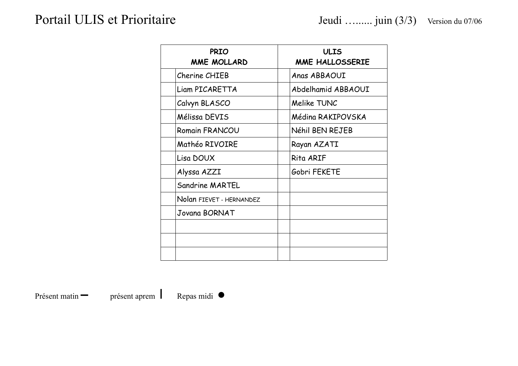| <b>PRIO</b><br>MME MOLLARD | <b>ULIS</b><br>MME HALLOSSERIE |
|----------------------------|--------------------------------|
| Cherine CHIEB              | Anas ABBAOUI                   |
| Liam PICARETTA             | Abdelhamid ABBAOUI             |
| Calvyn BLASCO              | Melike TUNC                    |
| Mélissa DEVIS              | Médina RAKIPOVSKA              |
| Romain FRANCOU             | Néhil BEN REJEB                |
| Mathéo RIVOIRE             | Rayan AZATI                    |
| Lisa DOUX                  | Rita ARIF                      |
| Alyssa AZZI                | Gobri FEKETE                   |
| Sandrine MARTEL            |                                |
| Nolan FIEVET - HERNANDEZ   |                                |
| Jovana BORNAT              |                                |
|                            |                                |
|                            |                                |
|                            |                                |

présent aprem Repas midi •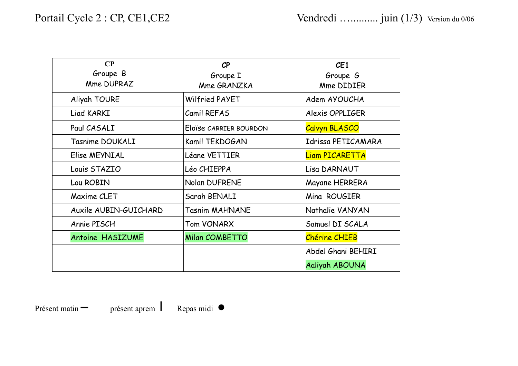| $\bf CP$<br>Groupe B<br>Mme DUPRAZ | $\mathcal{C}$ P<br>Groupe I<br>Mme GRANZKA | CE1<br>Groupe G<br>Mme DIDIER |  |
|------------------------------------|--------------------------------------------|-------------------------------|--|
| Aliyah TOURE                       | Wilfried PAYET                             | Adem AYOUCHA                  |  |
| Liad KARKI                         | Camil REFAS                                | Alexis OPPLIGER               |  |
| Paul CASALI                        | Eloïse CARRIER BOURDON                     | Calvyn BLASCO                 |  |
| Tasnime DOUKALI                    | Kamil TEKDOGAN                             | Idrissa PETICAMARA            |  |
| Elise MEYNIAL                      | Léane VETTIER                              | <b>Liam PICARETTA</b>         |  |
| Louis STAZIO                       | Léo CHIEPPA                                | Lisa DARNAUT                  |  |
| Lou ROBIN                          | <b>Nolan DUFRENE</b>                       | Mayane HERRERA                |  |
| Maxime CLET                        | Sarah BENALI                               | Mina ROUGIER                  |  |
| Auxile AUBIN-GUICHARD              | <b>Tasnim MAHNANE</b>                      | Nathalie VANYAN               |  |
| Annie PISCH                        | Tom VONARX                                 | Samuel DI SCALA               |  |
| Antoine HASIZUME                   | <b>Milan COMBETTO</b>                      | <b>Chérine CHIEB</b>          |  |
|                                    |                                            | Abdel Ghani BEHIRI            |  |
|                                    |                                            | Aaliyah ABOUNA                |  |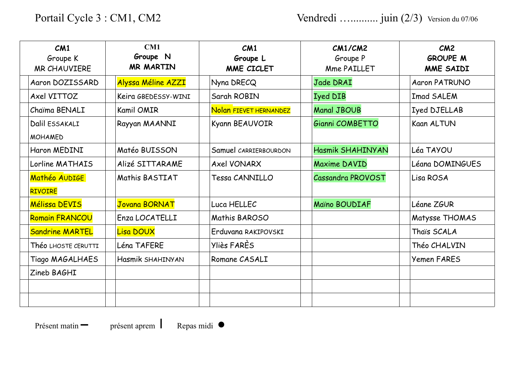| CM1<br>Groupe K<br><b>MR CHAUVIERE</b> | CM1<br>Groupe N<br><b>MR MARTIN</b> | CM1<br>Groupe L<br>MME CICLET | CM1/CM2<br>Groupe P<br>Mme PAILLET | CM2<br><b>GROUPE M</b><br>MME SAIDI |
|----------------------------------------|-------------------------------------|-------------------------------|------------------------------------|-------------------------------------|
| Aaron DOZISSARD                        | Alyssa Méline AZZI                  | Nyna DRECQ                    | Jade DRAI                          | <b>Aaron PATRUNO</b>                |
| Axel VITTOZ                            | Keira GBEDESSY-WINI                 | Sarah ROBIN                   | <b>Iyed DIB</b>                    | Imad SALEM                          |
| Chaima BENALI                          | <b>Kamil OMIR</b>                   | Nolan FIEVET HERNANDEZ        | <b>Manal JBOUB</b>                 | Iyed DJELLAB                        |
| Dalil ESSAKALI<br><b>MOHAMED</b>       | Rayyan MAANNI                       | Kyann BEAUVOIR                | Gianni COMBETTO                    | Kaan ALTUN                          |
| Haron MEDINI                           | Matéo BUISSON                       | Samuel CARRIERBOURDON         | Hasmik SHAHINYAN                   | Léa TAYOU                           |
| Lorline MATHAIS                        | Alizé SITTARAME                     | <b>Axel VONARX</b>            | <b>Maxime DAVID</b>                | Léana DOMINGUES                     |
| Mathéo AUDIGE                          | Mathis BASTIAT                      | Tessa CANNILLO                | Cassandra PROVOST                  | Lisa ROSA                           |
| <b>RIVOIRE</b>                         |                                     |                               |                                    |                                     |
| Mélissa DEVIS                          | <b>Jovana BORNAT</b>                | Luca HELLEC                   | Maïno BOUDIAF                      | Léane ZGUR                          |
| <b>Romain FRANCOU</b>                  | Enza LOCATELLI                      | Mathis BAROSO                 |                                    | Matysse THOMAS                      |
| <b>Sandrine MARTEL</b>                 | Lisa DOUX                           | Erduvana RAKIPOVSKI           |                                    | Thais SCALA                         |
| Théo LHOSTE CERUTTI                    | Léna TAFERE                         | Yliès FARES                   |                                    | Théo CHALVIN                        |
| Tiago MAGALHAES                        | Hasmik SHAHINYAN                    | Romane CASALI                 |                                    | <b>Yemen FARES</b>                  |
| Zineb BAGHI                            |                                     |                               |                                    |                                     |
|                                        |                                     |                               |                                    |                                     |
|                                        |                                     |                               |                                    |                                     |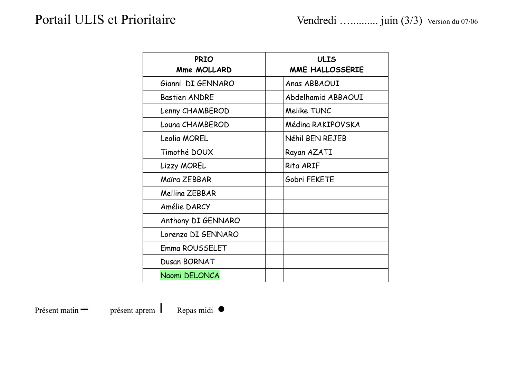| <b>PRIO</b><br><b>Mme MOLLARD</b> | <b>ULIS</b><br>MME HALLOSSERIE |
|-----------------------------------|--------------------------------|
| Gianni DI GENNARO                 | Anas ABBAOUI                   |
| <b>Bastien ANDRE</b>              | Abdelhamid ABBAOUI             |
| Lenny CHAMBEROD                   | Melike TUNC                    |
| Louna CHAMBEROD                   | Médina RAKIPOVSKA              |
| Leolia MOREL                      | Néhil BEN REJEB                |
| Timothé DOUX                      | Rayan AZATI                    |
| Lizzy MOREL                       | Rita ARIF                      |
| Maira ZEBBAR                      | Gobri FEKETE                   |
| Mellina ZEBBAR                    |                                |
| Amélie DARCY                      |                                |
| Anthony DI GENNARO                |                                |
| Lorenzo DI GENNARO                |                                |
| Emma ROUSSELET                    |                                |
| Dusan BORNAT                      |                                |
| Naomi DELONCA                     |                                |

Présent matin **–** présent aprem I Repas midi ●